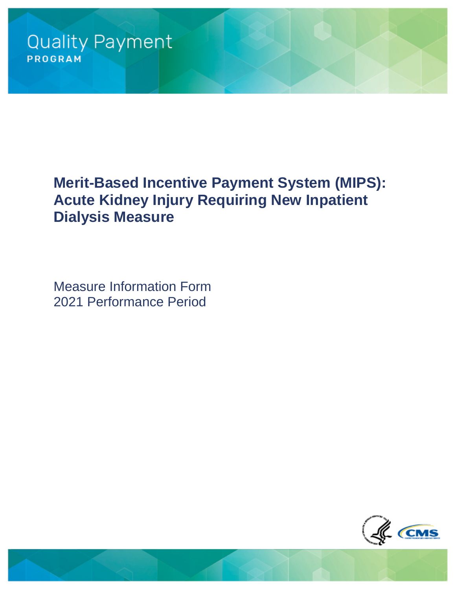# **Merit-Based Incentive Payment System (MIPS): Acute Kidney Injury Requiring New Inpatient Dialysis Measure**

Measure Information Form 2021 Performance Period

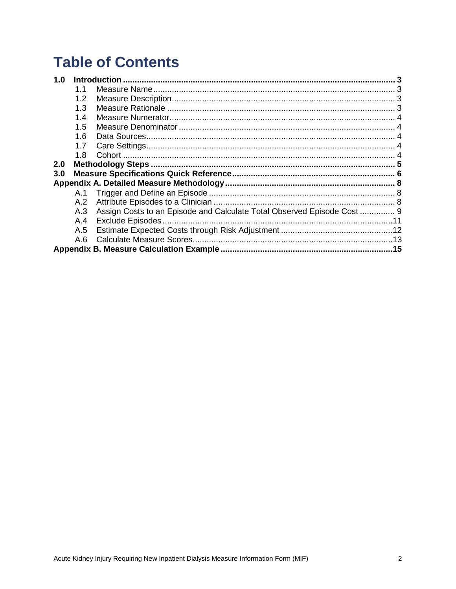# **Table of Contents**

| 1.0 |     |                                                                         |  |  |
|-----|-----|-------------------------------------------------------------------------|--|--|
|     | 1.1 |                                                                         |  |  |
|     | 1.2 |                                                                         |  |  |
|     | 1.3 |                                                                         |  |  |
|     | 1.4 |                                                                         |  |  |
|     | 1.5 |                                                                         |  |  |
|     | 1.6 |                                                                         |  |  |
|     | 1.7 |                                                                         |  |  |
|     | 1.8 |                                                                         |  |  |
| 2.0 |     |                                                                         |  |  |
| 3.0 |     |                                                                         |  |  |
|     |     |                                                                         |  |  |
|     |     |                                                                         |  |  |
|     | A.2 |                                                                         |  |  |
|     | A.3 | Assign Costs to an Episode and Calculate Total Observed Episode Cost  9 |  |  |
|     | A.4 |                                                                         |  |  |
|     | A.5 |                                                                         |  |  |
|     | A.6 |                                                                         |  |  |
|     |     |                                                                         |  |  |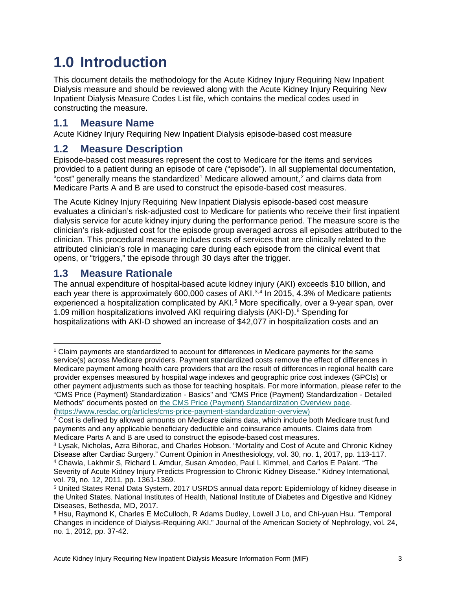# <span id="page-2-0"></span>**1.0 Introduction**

This document details the methodology for the Acute Kidney Injury Requiring New Inpatient Dialysis measure and should be reviewed along with the Acute Kidney Injury Requiring New Inpatient Dialysis Measure Codes List file, which contains the medical codes used in constructing the measure.

### <span id="page-2-1"></span>**1.1 Measure Name**

Acute Kidney Injury Requiring New Inpatient Dialysis episode-based cost measure

## <span id="page-2-2"></span>**1.2 Measure Description**

Episode-based cost measures represent the cost to Medicare for the items and services provided to a patient during an episode of care ("episode"). In all supplemental documentation, "cost" generally means the standardized<sup>[1](#page-2-4)</sup> Medicare allowed amount.<sup>[2](#page-2-5)</sup> and claims data from Medicare Parts A and B are used to construct the episode-based cost measures.

The Acute Kidney Injury Requiring New Inpatient Dialysis episode-based cost measure evaluates a clinician's risk-adjusted cost to Medicare for patients who receive their first inpatient dialysis service for acute kidney injury during the performance period. The measure score is the clinician's risk-adjusted cost for the episode group averaged across all episodes attributed to the clinician. This procedural measure includes costs of services that are clinically related to the attributed clinician's role in managing care during each episode from the clinical event that opens, or "triggers," the episode through 30 days after the trigger.

## <span id="page-2-3"></span>**1.3 Measure Rationale**

The annual expenditure of hospital-based acute kidney injury (AKI) exceeds \$10 billion, and each year there is approximately 600,000 cases of AKI.<sup>[3,](#page-2-6)[4](#page-2-7)</sup> In 2015, 4.3% of Medicare patients experienced a hospitalization complicated by AKI.<sup>[5](#page-2-8)</sup> More specifically, over a 9-year span, over 1.09 million hospitalizations involved AKI requiring dialysis (AKI-D).<sup>[6](#page-2-9)</sup> Spending for hospitalizations with AKI-D showed an increase of \$42,077 in hospitalization costs and an

<span id="page-2-4"></span> $\overline{a}$ <sup>1</sup> Claim payments are standardized to account for differences in Medicare payments for the same service(s) across Medicare providers. Payment standardized costs remove the effect of differences in Medicare payment among health care providers that are the result of differences in regional health care provider expenses measured by hospital wage indexes and geographic price cost indexes (GPCIs) or other payment adjustments such as those for teaching hospitals. For more information, please refer to the "CMS Price (Payment) Standardization - Basics" and "CMS Price (Payment) Standardization - Detailed Methods" documents posted on [the CMS Price \(Payment\) Standardization Overview page.](https://www.resdac.org/articles/cms-price-payment-standardization-overview) [\(https://www.resdac.org/articles/cms-price-payment-standardization-overview\)](https://www.resdac.org/articles/cms-price-payment-standardization-overview)

<span id="page-2-5"></span><sup>&</sup>lt;sup>2</sup> Cost is defined by allowed amounts on Medicare claims data, which include both Medicare trust fund payments and any applicable beneficiary deductible and coinsurance amounts. Claims data from Medicare Parts A and B are used to construct the episode-based cost measures.

<span id="page-2-7"></span><span id="page-2-6"></span><sup>3</sup> Lysak, Nicholas, Azra Bihorac, and Charles Hobson. "Mortality and Cost of Acute and Chronic Kidney Disease after Cardiac Surgery." Current Opinion in Anesthesiology, vol. 30, no. 1, 2017, pp. 113-117. <sup>4</sup> Chawla, Lakhmir S, Richard L Amdur, Susan Amodeo, Paul L Kimmel, and Carlos E Palant. "The Severity of Acute Kidney Injury Predicts Progression to Chronic Kidney Disease." Kidney International, vol. 79, no. 12, 2011, pp. 1361-1369.

<span id="page-2-8"></span><sup>5</sup> United States Renal Data System. 2017 USRDS annual data report: Epidemiology of kidney disease in the United States. National Institutes of Health, National Institute of Diabetes and Digestive and Kidney Diseases, Bethesda, MD, 2017.

<span id="page-2-9"></span><sup>6</sup> Hsu, Raymond K, Charles E McCulloch, R Adams Dudley, Lowell J Lo, and Chi-yuan Hsu. "Temporal Changes in incidence of Dialysis-Requiring AKI." Journal of the American Society of Nephrology, vol. 24, no. 1, 2012, pp. 37-42.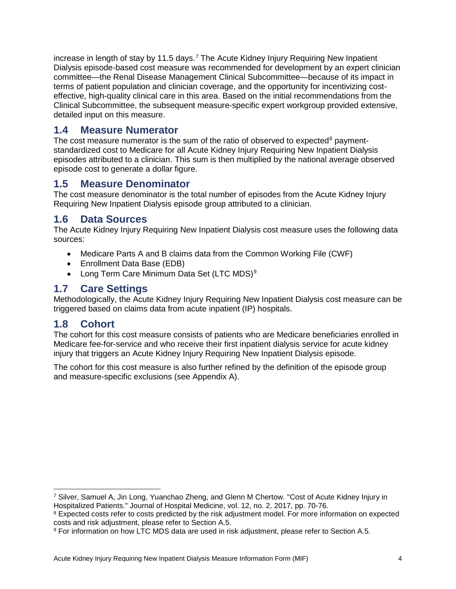increase in length of stay by 11.5 days.<sup>[7](#page-3-5)</sup> The Acute Kidney Injury Requiring New Inpatient Dialysis episode-based cost measure was recommended for development by an expert clinician committee—the Renal Disease Management Clinical Subcommittee—because of its impact in terms of patient population and clinician coverage, and the opportunity for incentivizing costeffective, high-quality clinical care in this area. Based on the initial recommendations from the Clinical Subcommittee, the subsequent measure-specific expert workgroup provided extensive, detailed input on this measure.

### <span id="page-3-0"></span>**1.4 Measure Numerator**

The cost measure numerator is the sum of the ratio of observed to expected<sup>[8](#page-3-6)</sup> paymentstandardized cost to Medicare for all Acute Kidney Injury Requiring New Inpatient Dialysis episodes attributed to a clinician. This sum is then multiplied by the national average observed episode cost to generate a dollar figure.

### <span id="page-3-1"></span>**1.5 Measure Denominator**

The cost measure denominator is the total number of episodes from the Acute Kidney Injury Requiring New Inpatient Dialysis episode group attributed to a clinician.

### <span id="page-3-2"></span>**1.6 Data Sources**

The Acute Kidney Injury Requiring New Inpatient Dialysis cost measure uses the following data sources:

- Medicare Parts A and B claims data from the Common Working File (CWF)
- Enrollment Data Base (EDB)
- Long Term Care Minimum Data Set (LTC MDS)<sup>[9](#page-3-7)</sup>

## <span id="page-3-3"></span>**1.7 Care Settings**

Methodologically, the Acute Kidney Injury Requiring New Inpatient Dialysis cost measure can be triggered based on claims data from acute inpatient (IP) hospitals.

### <span id="page-3-4"></span>**1.8 Cohort**

 $\ddot{\phantom{a}}$ 

The cohort for this cost measure consists of patients who are Medicare beneficiaries enrolled in Medicare fee-for-service and who receive their first inpatient dialysis service for acute kidney injury that triggers an Acute Kidney Injury Requiring New Inpatient Dialysis episode.

The cohort for this cost measure is also further refined by the definition of the episode group and measure-specific exclusions (see [Appendix A\)](#page-7-0).

<span id="page-3-5"></span><sup>7</sup> Silver, Samuel A, Jin Long, Yuanchao Zheng, and Glenn M Chertow. "Cost of Acute Kidney Injury in Hospitalized Patients." Journal of Hospital Medicine, vol. 12, no. 2, 2017, pp. 70-76.

<span id="page-3-6"></span><sup>&</sup>lt;sup>8</sup> Expected costs refer to costs predicted by the risk adjustment model. For more information on expected costs and risk adjustment, please refer to Section A.5.

<span id="page-3-7"></span><sup>&</sup>lt;sup>9</sup> For information on how LTC MDS data are used in risk adjustment, please refer to Section [A.5.](#page-11-0)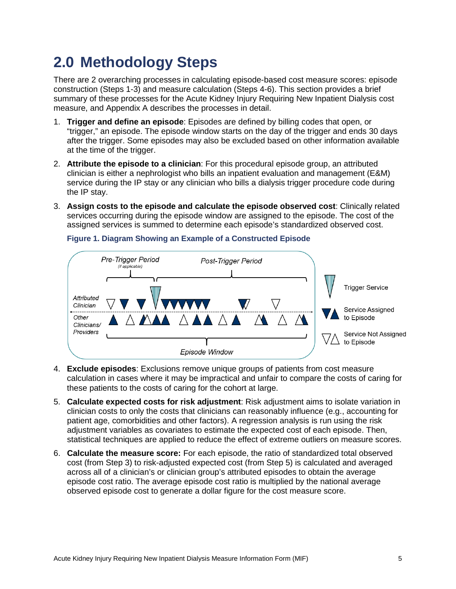# <span id="page-4-0"></span>**2.0 Methodology Steps**

There are 2 overarching processes in calculating episode-based cost measure scores: episode construction (Steps [1-](#page-4-1)[3\)](#page-4-2) and measure calculation (Steps [4](#page-4-3)[-6\)](#page-4-4). This section provides a brief summary of these processes for the Acute Kidney Injury Requiring New Inpatient Dialysis cost measure, and [Appendix A](#page-7-0) describes the processes in detail.

- <span id="page-4-1"></span>1. **Trigger and define an episode**: Episodes are defined by billing codes that open, or "trigger," an episode. The episode window starts on the day of the trigger and ends 30 days after the trigger. Some episodes may also be excluded based on other information available at the time of the trigger.
- 2. **Attribute the episode to a clinician**: For this procedural episode group, an attributed clinician is either a nephrologist who bills an inpatient evaluation and management (E&M) service during the IP stay or any clinician who bills a dialysis trigger procedure code during the IP stay.
- <span id="page-4-2"></span>3. **Assign costs to the episode and calculate the episode observed cost**: Clinically related services occurring during the episode window are assigned to the episode. The cost of the assigned services is summed to determine each episode's standardized observed cost.



#### **Figure 1. Diagram Showing an Example of a Constructed Episode**

- <span id="page-4-3"></span>4. **Exclude episodes**: Exclusions remove unique groups of patients from cost measure calculation in cases where it may be impractical and unfair to compare the costs of caring for these patients to the costs of caring for the cohort at large.
- <span id="page-4-5"></span>5. **Calculate expected costs for risk adjustment**: Risk adjustment aims to isolate variation in clinician costs to only the costs that clinicians can reasonably influence (e.g., accounting for patient age, comorbidities and other factors). A regression analysis is run using the risk adjustment variables as covariates to estimate the expected cost of each episode. Then, statistical techniques are applied to reduce the effect of extreme outliers on measure scores.
- <span id="page-4-4"></span>6. **Calculate the measure score:** For each episode, the ratio of standardized total observed cost (from Step [3\)](#page-4-2) to risk-adjusted expected cost (from Step [5\)](#page-4-5) is calculated and averaged across all of a clinician's or clinician group's attributed episodes to obtain the average episode cost ratio. The average episode cost ratio is multiplied by the national average observed episode cost to generate a dollar figure for the cost measure score.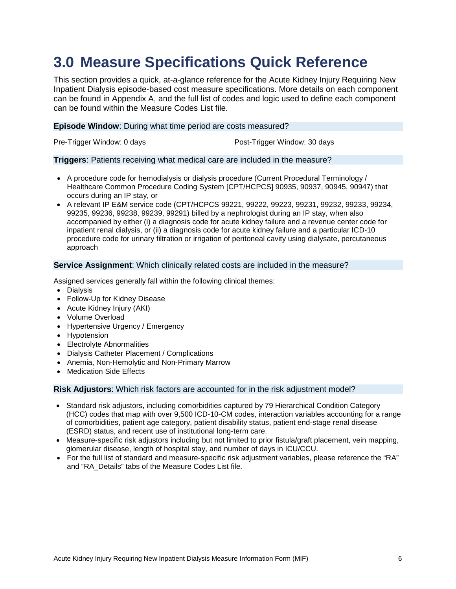# <span id="page-5-0"></span>**3.0 Measure Specifications Quick Reference**

This section provides a quick, at-a-glance reference for the Acute Kidney Injury Requiring New Inpatient Dialysis episode-based cost measure specifications. More details on each component can be found in [Appendix A,](#page-7-0) and the full list of codes and logic used to define each component can be found within the Measure Codes List file.

#### **Episode Window**: During what time period are costs measured?

Pre-Trigger Window: 0 days **Post-Trigger Window: 30 days** Post-Trigger Window: 30 days

#### **Triggers**: Patients receiving what medical care are included in the measure?

- A procedure code for hemodialysis or dialysis procedure (Current Procedural Terminology / Healthcare Common Procedure Coding System [CPT/HCPCS] 90935, 90937, 90945, 90947) that occurs during an IP stay, or
- A relevant IP E&M service code (CPT/HCPCS 99221, 99222, 99223, 99231, 99232, 99233, 99234, 99235, 99236, 99238, 99239, 99291) billed by a nephrologist during an IP stay, when also accompanied by either (i) a diagnosis code for acute kidney failure and a revenue center code for inpatient renal dialysis, or (ii) a diagnosis code for acute kidney failure and a particular ICD-10 procedure code for urinary filtration or irrigation of peritoneal cavity using dialysate, percutaneous approach

#### **Service Assignment**: Which clinically related costs are included in the measure?

Assigned services generally fall within the following clinical themes:

- Dialysis
- Follow-Up for Kidney Disease
- Acute Kidney Injury (AKI)
- Volume Overload
- Hypertensive Urgency / Emergency
- Hypotension
- Electrolyte Abnormalities
- Dialysis Catheter Placement / Complications
- Anemia, Non-Hemolytic and Non-Primary Marrow
- Medication Side Effects

#### **Risk Adjustors**: Which risk factors are accounted for in the risk adjustment model?

- Standard risk adjustors, including comorbidities captured by 79 Hierarchical Condition Category (HCC) codes that map with over 9,500 ICD-10-CM codes, interaction variables accounting for a range of comorbidities, patient age category, patient disability status, patient end-stage renal disease (ESRD) status, and recent use of institutional long-term care.
- Measure-specific risk adjustors including but not limited to prior fistula/graft placement, vein mapping, glomerular disease, length of hospital stay, and number of days in ICU/CCU.
- For the full list of standard and measure-specific risk adjustment variables, please reference the "RA" and "RA\_Details" tabs of the Measure Codes List file.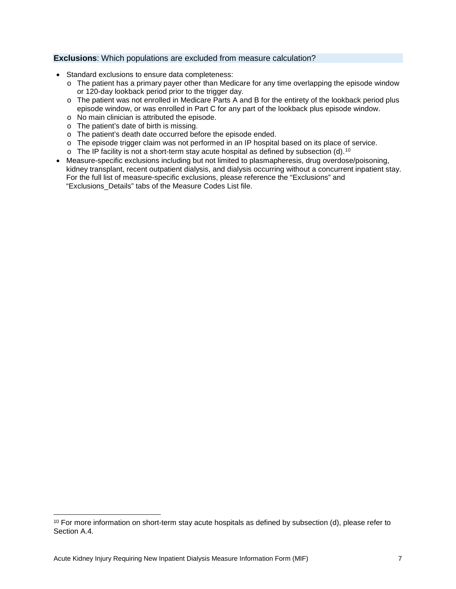#### **Exclusions**: Which populations are excluded from measure calculation?

- Standard exclusions to ensure data completeness:
	- $\circ$  The patient has a primary payer other than Medicare for any time overlapping the episode window or 120-day lookback period prior to the trigger day.
	- o The patient was not enrolled in Medicare Parts A and B for the entirety of the lookback period plus episode window, or was enrolled in Part C for any part of the lookback plus episode window.
	- o No main clinician is attributed the episode.
	- o The patient's date of birth is missing.
	- o The patient's death date occurred before the episode ended.
	- o The episode trigger claim was not performed in an IP hospital based on its place of service.
	- $\circ$  The IP facility is not a short-term stay acute hospital as defined by subsection (d).<sup>10</sup>
- Measure-specific exclusions including but not limited to plasmapheresis, drug overdose/poisoning, kidney transplant, recent outpatient dialysis, and dialysis occurring without a concurrent inpatient stay. For the full list of measure-specific exclusions, please reference the "Exclusions" and "Exclusions\_Details" tabs of the Measure Codes List file.

 $\ddot{\phantom{a}}$ 

<span id="page-6-0"></span> $10$  For more information on short-term stay acute hospitals as defined by subsection (d), please refer to Section [A.4.](#page-10-0)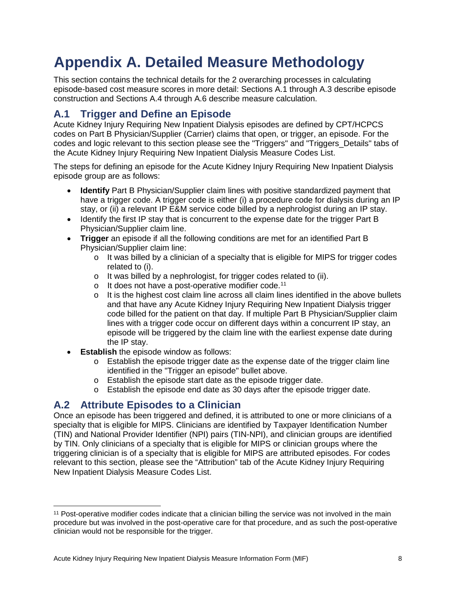# <span id="page-7-0"></span>**Appendix A. Detailed Measure Methodology**

This section contains the technical details for the 2 overarching processes in calculating episode-based cost measure scores in more detail: Sections [A.1](#page-7-1) through [A.3](#page-8-0) describe episode construction and Sections [A.4](#page-10-0) through [A.6](#page-12-0) describe measure calculation.

## <span id="page-7-1"></span>**A.1 Trigger and Define an Episode**

Acute Kidney Injury Requiring New Inpatient Dialysis episodes are defined by CPT/HCPCS codes on Part B Physician/Supplier (Carrier) claims that open, or trigger, an episode. For the codes and logic relevant to this section please see the "Triggers" and "Triggers\_Details" tabs of the Acute Kidney Injury Requiring New Inpatient Dialysis Measure Codes List.

The steps for defining an episode for the Acute Kidney Injury Requiring New Inpatient Dialysis episode group are as follows:

- **Identify** Part B Physician/Supplier claim lines with positive standardized payment that have a trigger code. A trigger code is either (i) a procedure code for dialysis during an IP stay, or (ii) a relevant IP E&M service code billed by a nephrologist during an IP stay.
- Identify the first IP stay that is concurrent to the expense date for the trigger Part B Physician/Supplier claim line.
- **Trigger** an episode if all the following conditions are met for an identified Part B Physician/Supplier claim line:
	- o It was billed by a clinician of a specialty that is eligible for MIPS for trigger codes related to (i).
	- o It was billed by a nephrologist, for trigger codes related to (ii).
	- $\circ$  It does not have a post-operative modifier code.<sup>11</sup>
	- $\circ$  It is the highest cost claim line across all claim lines identified in the above bullets and that have any Acute Kidney Injury Requiring New Inpatient Dialysis trigger code billed for the patient on that day. If multiple Part B Physician/Supplier claim lines with a trigger code occur on different days within a concurrent IP stay, an episode will be triggered by the claim line with the earliest expense date during the IP stay.
- **Establish** the episode window as follows:
	- $\circ$  Establish the episode trigger date as the expense date of the trigger claim line identified in the "Trigger an episode" bullet above.
	- o Establish the episode start date as the episode trigger date.
	- o Establish the episode end date as 30 days after the episode trigger date.

## <span id="page-7-2"></span>**A.2 Attribute Episodes to a Clinician**

Once an episode has been triggered and defined, it is attributed to one or more clinicians of a specialty that is eligible for MIPS. Clinicians are identified by Taxpayer Identification Number (TIN) and National Provider Identifier (NPI) pairs (TIN-NPI), and clinician groups are identified by TIN. Only clinicians of a specialty that is eligible for MIPS or clinician groups where the triggering clinician is of a specialty that is eligible for MIPS are attributed episodes. For codes relevant to this section, please see the "Attribution" tab of the Acute Kidney Injury Requiring New Inpatient Dialysis Measure Codes List.

<span id="page-7-3"></span> $\overline{a}$ <sup>11</sup> Post-operative modifier codes indicate that a clinician billing the service was not involved in the main procedure but was involved in the post-operative care for that procedure, and as such the post-operative clinician would not be responsible for the trigger.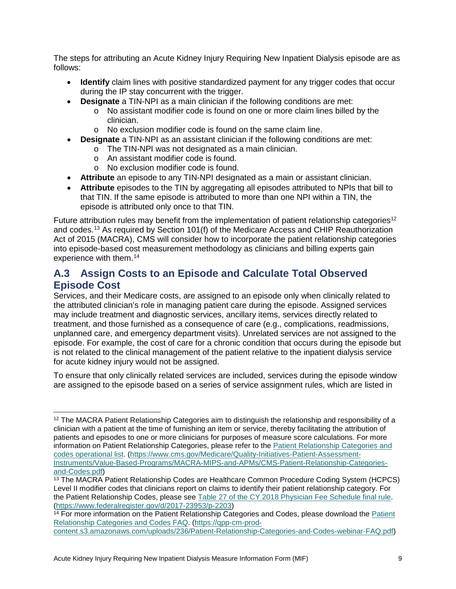The steps for attributing an Acute Kidney Injury Requiring New Inpatient Dialysis episode are as follows:

- **Identify** claim lines with positive standardized payment for any trigger codes that occur during the IP stay concurrent with the trigger.
- **Designate** a TIN-NPI as a main clinician if the following conditions are met:
	- o No assistant modifier code is found on one or more claim lines billed by the clinician.
	- o No exclusion modifier code is found on the same claim line.
- **Designate** a TIN-NPI as an assistant clinician if the following conditions are met:
	- o The TIN-NPI was not designated as a main clinician.
	- o An assistant modifier code is found.
	- o No exclusion modifier code is found.
- **Attribute** an episode to any TIN-NPI designated as a main or assistant clinician.
- **Attribute** episodes to the TIN by aggregating all episodes attributed to NPIs that bill to that TIN. If the same episode is attributed to more than one NPI within a TIN, the episode is attributed only once to that TIN.

Future attribution rules may benefit from the implementation of patient relationship categories<sup>[12](#page-8-1)</sup> and codes.[13](#page-8-2) As required by Section 101(f) of the Medicare Access and CHIP Reauthorization Act of 2015 (MACRA), CMS will consider how to incorporate the patient relationship categories into episode-based cost measurement methodology as clinicians and billing experts gain experience with them.<sup>[14](#page-8-3)</sup>

## <span id="page-8-0"></span>**A.3 Assign Costs to an Episode and Calculate Total Observed Episode Cost**

Services, and their Medicare costs, are assigned to an episode only when clinically related to the attributed clinician's role in managing patient care during the episode. Assigned services may include treatment and diagnostic services, ancillary items, services directly related to treatment, and those furnished as a consequence of care (e.g., complications, readmissions, unplanned care, and emergency department visits). Unrelated services are not assigned to the episode. For example, the cost of care for a chronic condition that occurs during the episode but is not related to the clinical management of the patient relative to the inpatient dialysis service for acute kidney injury would not be assigned.

To ensure that only clinically related services are included, services during the episode window are assigned to the episode based on a series of service assignment rules, which are listed in

<span id="page-8-1"></span> $\ddot{\phantom{a}}$ <sup>12</sup> The MACRA Patient Relationship Categories aim to distinguish the relationship and responsibility of a clinician with a patient at the time of furnishing an item or service, thereby facilitating the attribution of patients and episodes to one or more clinicians for purposes of measure score calculations. For more information on Patient Relationship Categories, please refer to the [Patient Relationship Categories and](https://www.cms.gov/Medicare/Quality-Initiatives-Patient-Assessment-Instruments/Value-Based-Programs/MACRA-MIPS-and-APMs/CMS-Patient-Relationship-Categories-and-Codes.pdf)  [codes operational list.](https://www.cms.gov/Medicare/Quality-Initiatives-Patient-Assessment-Instruments/Value-Based-Programs/MACRA-MIPS-and-APMs/CMS-Patient-Relationship-Categories-and-Codes.pdf) [\(https://www.cms.gov/Medicare/Quality-Initiatives-Patient-Assessment-](https://www.cms.gov/Medicare/Quality-Initiatives-Patient-Assessment-Instruments/Value-Based-Programs/MACRA-MIPS-and-APMs/CMS-Patient-Relationship-Categories-and-Codes.pdf)[Instruments/Value-Based-Programs/MACRA-MIPS-and-APMs/CMS-Patient-Relationship-Categories](https://www.cms.gov/Medicare/Quality-Initiatives-Patient-Assessment-Instruments/Value-Based-Programs/MACRA-MIPS-and-APMs/CMS-Patient-Relationship-Categories-and-Codes.pdf)[and-Codes.pdf\)](https://www.cms.gov/Medicare/Quality-Initiatives-Patient-Assessment-Instruments/Value-Based-Programs/MACRA-MIPS-and-APMs/CMS-Patient-Relationship-Categories-and-Codes.pdf)

<span id="page-8-2"></span><sup>&</sup>lt;sup>13</sup> The MACRA Patient Relationship Codes are Healthcare Common Procedure Coding System (HCPCS) Level II modifier codes that clinicians report on claims to identify their patient relationship category. For the Patient Relationship Codes, please see [Table 27 of the CY 2018 Physician Fee Schedule final rule.](https://www.federalregister.gov/d/2017-23953/p-2203) [\(https://www.federalregister.gov/d/2017-23953/p-2203\)](https://www.federalregister.gov/d/2017-23953/p-2203)

<span id="page-8-3"></span><sup>&</sup>lt;sup>14</sup> For more information on the [Patient](https://qpp-cm-prod-content.s3.amazonaws.com/uploads/236/Patient-Relationship-Categories-and-Codes-webinar-FAQ.pdf) Relationship Categories and Codes, please download the Patient [Relationship Categories and Codes FAQ.](https://qpp-cm-prod-content.s3.amazonaws.com/uploads/236/Patient-Relationship-Categories-and-Codes-webinar-FAQ.pdf) [\(https://qpp-cm-prod-](https://qpp-cm-prod-content.s3.amazonaws.com/uploads/236/Patient-Relationship-Categories-and-Codes-webinar-FAQ.pdf)

[content.s3.amazonaws.com/uploads/236/Patient-Relationship-Categories-and-Codes-webinar-FAQ.pdf\)](https://qpp-cm-prod-content.s3.amazonaws.com/uploads/236/Patient-Relationship-Categories-and-Codes-webinar-FAQ.pdf)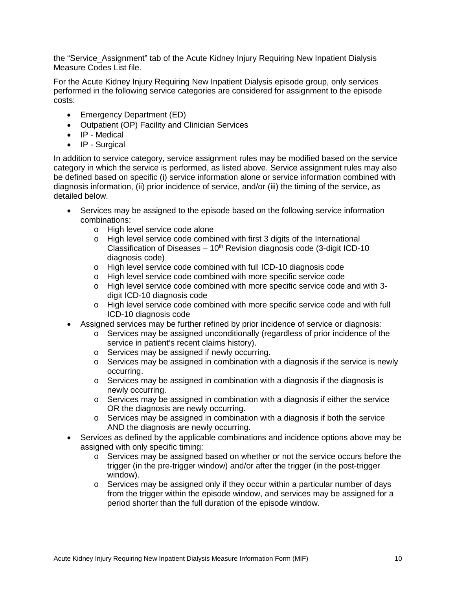the "Service\_Assignment" tab of the Acute Kidney Injury Requiring New Inpatient Dialysis Measure Codes List file.

For the Acute Kidney Injury Requiring New Inpatient Dialysis episode group, only services performed in the following service categories are considered for assignment to the episode costs:

- Emergency Department (ED)
- Outpatient (OP) Facility and Clinician Services
- IP Medical
- IP Surgical

In addition to service category, service assignment rules may be modified based on the service category in which the service is performed, as listed above. Service assignment rules may also be defined based on specific (i) service information alone or service information combined with diagnosis information, (ii) prior incidence of service, and/or (iii) the timing of the service, as detailed below.

- Services may be assigned to the episode based on the following service information combinations:
	- o High level service code alone
	- o High level service code combined with first 3 digits of the International Classification of Diseases  $-10<sup>th</sup>$  Revision diagnosis code (3-digit ICD-10 diagnosis code)
	- o High level service code combined with full ICD-10 diagnosis code
	- o High level service code combined with more specific service code
	- o High level service code combined with more specific service code and with 3 digit ICD-10 diagnosis code
	- o High level service code combined with more specific service code and with full ICD-10 diagnosis code
- Assigned services may be further refined by prior incidence of service or diagnosis:
	- o Services may be assigned unconditionally (regardless of prior incidence of the service in patient's recent claims history).
	- o Services may be assigned if newly occurring.
	- o Services may be assigned in combination with a diagnosis if the service is newly occurring.
	- $\circ$  Services may be assigned in combination with a diagnosis if the diagnosis is newly occurring.
	- $\circ$  Services may be assigned in combination with a diagnosis if either the service OR the diagnosis are newly occurring.
	- $\circ$  Services may be assigned in combination with a diagnosis if both the service AND the diagnosis are newly occurring.
- Services as defined by the applicable combinations and incidence options above may be assigned with only specific timing:
	- o Services may be assigned based on whether or not the service occurs before the trigger (in the pre-trigger window) and/or after the trigger (in the post-trigger window).
	- $\circ$  Services may be assigned only if they occur within a particular number of days from the trigger within the episode window, and services may be assigned for a period shorter than the full duration of the episode window.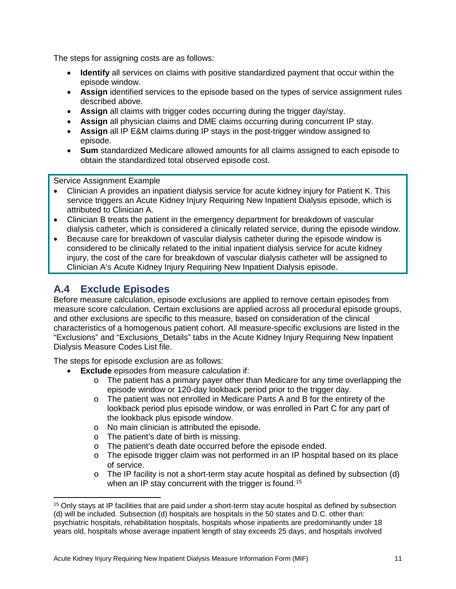The steps for assigning costs are as follows:

- **Identify** all services on claims with positive standardized payment that occur within the episode window.
- **Assign** identified services to the episode based on the types of service assignment rules described above.
- **Assign** all claims with trigger codes occurring during the trigger day/stay.
- **Assign** all physician claims and DME claims occurring during concurrent IP stay.
- **Assign** all IP E&M claims during IP stays in the post-trigger window assigned to episode.
- **Sum** standardized Medicare allowed amounts for all claims assigned to each episode to obtain the standardized total observed episode cost.

Service Assignment Example

- Clinician A provides an inpatient dialysis service for acute kidney injury for Patient K. This service triggers an Acute Kidney Injury Requiring New Inpatient Dialysis episode, which is attributed to Clinician A.
- Clinician B treats the patient in the emergency department for breakdown of vascular dialysis catheter, which is considered a clinically related service, during the episode window.
- Because care for breakdown of vascular dialysis catheter during the episode window is considered to be clinically related to the initial inpatient dialysis service for acute kidney injury, the cost of the care for breakdown of vascular dialysis catheter will be assigned to Clinician A's Acute Kidney Injury Requiring New Inpatient Dialysis episode.

# <span id="page-10-0"></span>**A.4 Exclude Episodes**

Before measure calculation, episode exclusions are applied to remove certain episodes from measure score calculation. Certain exclusions are applied across all procedural episode groups, and other exclusions are specific to this measure, based on consideration of the clinical characteristics of a homogenous patient cohort. All measure-specific exclusions are listed in the "Exclusions" and "Exclusions\_Details" tabs in the Acute Kidney Injury Requiring New Inpatient Dialysis Measure Codes List file.

The steps for episode exclusion are as follows:

- **Exclude** episodes from measure calculation if:
	- $\circ$  The patient has a primary payer other than Medicare for any time overlapping the episode window or 120-day lookback period prior to the trigger day.
	- o The patient was not enrolled in Medicare Parts A and B for the entirety of the lookback period plus episode window, or was enrolled in Part C for any part of the lookback plus episode window.
	- o No main clinician is attributed the episode.
	- o The patient's date of birth is missing.
	- o The patient's death date occurred before the episode ended.
	- $\circ$  The episode trigger claim was not performed in an IP hospital based on its place of service.
	- o The IP facility is not a short-term stay acute hospital as defined by subsection (d) when an IP stay concurrent with the trigger is found.<sup>[15](#page-10-1)</sup>

<span id="page-10-1"></span> $\overline{a}$ <sup>15</sup> Only stays at IP facilities that are paid under a short-term stay acute hospital as defined by subsection (d) will be included. Subsection (d) hospitals are hospitals in the 50 states and D.C. other than: psychiatric hospitals, rehabilitation hospitals, hospitals whose inpatients are predominantly under 18 years old, hospitals whose average inpatient length of stay exceeds 25 days, and hospitals involved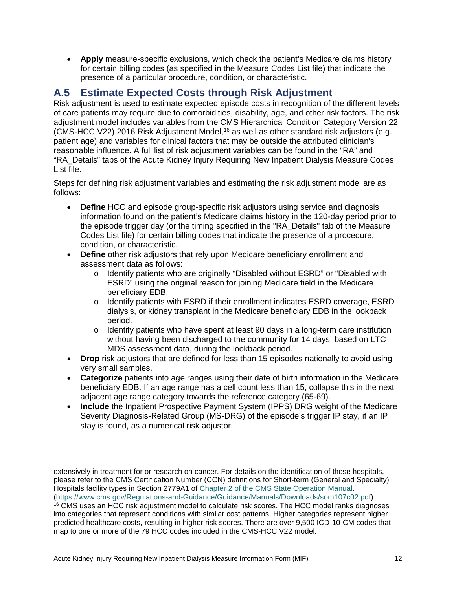• **Apply** measure-specific exclusions, which check the patient's Medicare claims history for certain billing codes (as specified in the Measure Codes List file) that indicate the presence of a particular procedure, condition, or characteristic.

## <span id="page-11-0"></span>**A.5 Estimate Expected Costs through Risk Adjustment**

Risk adjustment is used to estimate expected episode costs in recognition of the different levels of care patients may require due to comorbidities, disability, age, and other risk factors. The risk adjustment model includes variables from the CMS Hierarchical Condition Category Version 22 (CMS-HCC V22) 2016 Risk Adjustment Model, [16](#page-11-1) as well as other standard risk adjustors (e.g., patient age) and variables for clinical factors that may be outside the attributed clinician's reasonable influence. A full list of risk adjustment variables can be found in the "RA" and "RA\_Details" tabs of the Acute Kidney Injury Requiring New Inpatient Dialysis Measure Codes List file.

Steps for defining risk adjustment variables and estimating the risk adjustment model are as follows:

- **Define** HCC and episode group-specific risk adjustors using service and diagnosis information found on the patient's Medicare claims history in the 120-day period prior to the episode trigger day (or the timing specified in the "RA\_Details" tab of the Measure Codes List file) for certain billing codes that indicate the presence of a procedure, condition, or characteristic.
- **Define** other risk adjustors that rely upon Medicare beneficiary enrollment and assessment data as follows:
	- o Identify patients who are originally "Disabled without ESRD" or "Disabled with ESRD" using the original reason for joining Medicare field in the Medicare beneficiary EDB.
	- o Identify patients with ESRD if their enrollment indicates ESRD coverage, ESRD dialysis, or kidney transplant in the Medicare beneficiary EDB in the lookback period.
	- $\circ$  Identify patients who have spent at least 90 days in a long-term care institution without having been discharged to the community for 14 days, based on LTC MDS assessment data, during the lookback period.
- **Drop** risk adjustors that are defined for less than 15 episodes nationally to avoid using very small samples.
- **Categorize** patients into age ranges using their date of birth information in the Medicare beneficiary EDB. If an age range has a cell count less than 15, collapse this in the next adjacent age range category towards the reference category (65-69).
- **Include** the Inpatient Prospective Payment System (IPPS) DRG weight of the Medicare Severity Diagnosis-Related Group (MS-DRG) of the episode's trigger IP stay, if an IP stay is found, as a numerical risk adjustor.

 $\ddot{\phantom{a}}$ extensively in treatment for or research on cancer. For details on the identification of these hospitals, please refer to the CMS Certification Number (CCN) definitions for Short-term (General and Specialty) Hospitals facility types in Section 2779A1 of [Chapter 2 of the CMS State Operation Manual.](https://www.cms.gov/Regulations-and-Guidance/Guidance/Manuals/Downloads/som107c02.pdf) [\(https://www.cms.gov/Regulations-and-Guidance/Guidance/Manuals/Downloads/som107c02.pdf\)](https://www.cms.gov/Regulations-and-Guidance/Guidance/Manuals/Downloads/som107c02.pdf)

<span id="page-11-1"></span><sup>&</sup>lt;sup>16</sup> CMS uses an HCC risk adjustment model to calculate risk scores. The HCC model ranks diagnoses into categories that represent conditions with similar cost patterns. Higher categories represent higher predicted healthcare costs, resulting in higher risk scores. There are over 9,500 ICD-10-CM codes that map to one or more of the 79 HCC codes included in the CMS-HCC V22 model.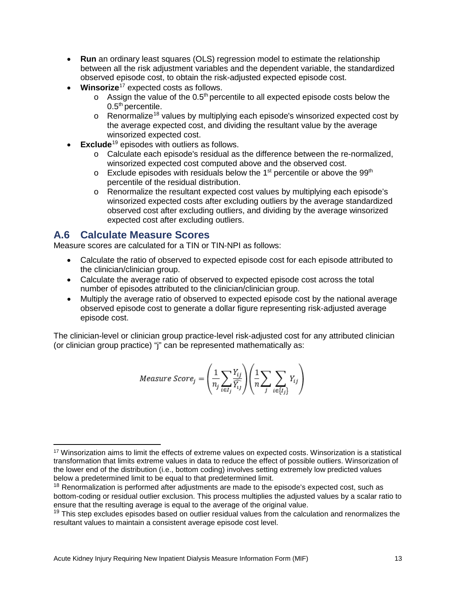- **Run** an ordinary least squares (OLS) regression model to estimate the relationship between all the risk adjustment variables and the dependent variable, the standardized observed episode cost, to obtain the risk-adjusted expected episode cost.
- **Winsorize**[17](#page-12-1) expected costs as follows.
	- $\circ$  Assign the value of the 0.5<sup>th</sup> percentile to all expected episode costs below the  $0.5<sup>th</sup>$  percentile.
	- $\circ$  Renormalize<sup>[18](#page-12-2)</sup> values by multiplying each episode's winsorized expected cost by the average expected cost, and dividing the resultant value by the average winsorized expected cost.
- **Exclude**<sup>[19](#page-12-3)</sup> episodes with outliers as follows.
	- o Calculate each episode's residual as the difference between the re-normalized, winsorized expected cost computed above and the observed cost.
	- $\circ$  Exclude episodes with residuals below the 1<sup>st</sup> percentile or above the 99<sup>th</sup> percentile of the residual distribution.
	- o Renormalize the resultant expected cost values by multiplying each episode's winsorized expected costs after excluding outliers by the average standardized observed cost after excluding outliers, and dividing by the average winsorized expected cost after excluding outliers.

### <span id="page-12-0"></span>**A.6 Calculate Measure Scores**

Measure scores are calculated for a TIN or TIN-NPI as follows:

- Calculate the ratio of observed to expected episode cost for each episode attributed to the clinician/clinician group.
- Calculate the average ratio of observed to expected episode cost across the total number of episodes attributed to the clinician/clinician group.
- Multiply the average ratio of observed to expected episode cost by the national average observed episode cost to generate a dollar figure representing risk-adjusted average episode cost.

The clinician-level or clinician group practice-level risk-adjusted cost for any attributed clinician (or clinician group practice) "j" can be represented mathematically as:

$$
Measure \; Score_j = \left(\frac{1}{n_j} \sum_{i \in I_j} \frac{Y_{ij}}{\widehat{Y_{ij}}}\right) \left(\frac{1}{n} \sum_j \sum_{i \in \{I_j\}} Y_{ij}\right)
$$

<span id="page-12-1"></span> $\overline{a}$ <sup>17</sup> Winsorization aims to limit the effects of extreme values on expected costs. Winsorization is a statistical transformation that limits extreme values in data to reduce the effect of possible outliers. Winsorization of the lower end of the distribution (i.e., bottom coding) involves setting extremely low predicted values below a predetermined limit to be equal to that predetermined limit.

<span id="page-12-2"></span><sup>&</sup>lt;sup>18</sup> Renormalization is performed after adjustments are made to the episode's expected cost, such as bottom-coding or residual outlier exclusion. This process multiplies the adjusted values by a scalar ratio to ensure that the resulting average is equal to the average of the original value.

<span id="page-12-3"></span> $19$  This step excludes episodes based on outlier residual values from the calculation and renormalizes the resultant values to maintain a consistent average episode cost level.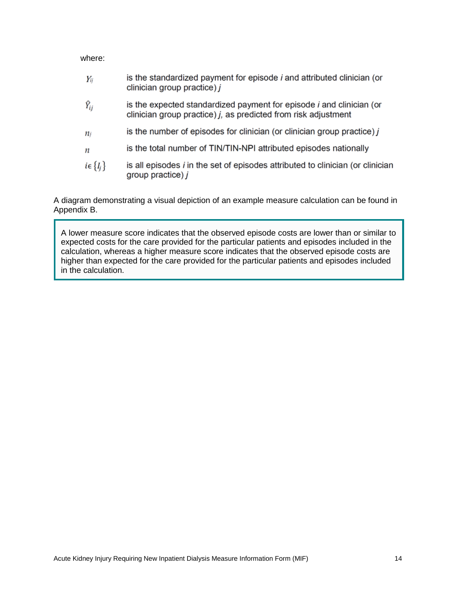#### where:

| Yij                | is the standardized payment for episode <i>i</i> and attributed clinician (or<br>clinician group practice) $j$                                   |
|--------------------|--------------------------------------------------------------------------------------------------------------------------------------------------|
| $\widehat{Y}_{ij}$ | is the expected standardized payment for episode <i>i</i> and clinician (or<br>clinician group practice) $j$ , as predicted from risk adjustment |
| $n_i$              | is the number of episodes for clinician (or clinician group practice) $j$                                                                        |
| $\boldsymbol{n}$   | is the total number of TIN/TIN-NPI attributed episodes nationally                                                                                |
| $i \in \{I_i\}$    | is all episodes <i>i</i> in the set of episodes attributed to clinician (or clinician<br>group practice) $j$                                     |
|                    |                                                                                                                                                  |

A diagram demonstrating a visual depiction of an example measure calculation can be found in Appendix B.

A lower measure score indicates that the observed episode costs are lower than or similar to expected costs for the care provided for the particular patients and episodes included in the calculation, whereas a higher measure score indicates that the observed episode costs are higher than expected for the care provided for the particular patients and episodes included in the calculation.